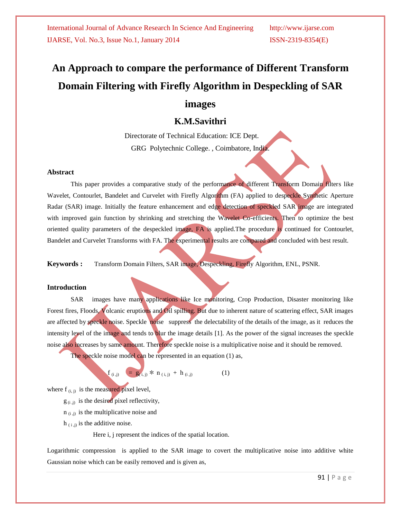# **An Approach to compare the performance of Different Transform Domain Filtering with Firefly Algorithm in Despeckling of SAR**

# **images**

# **K.M.Savithri**

 Directorate of Technical Education: ICE Dept. GRG Polytechnic College. , Coimbatore, India.

### **Abstract**

This paper provides a comparative study of the performance of different Transform Domain filters like Wavelet, Contourlet, Bandelet and Curvelet with Firefly Algorithm (FA) applied to despeckle Synthetic Aperture Radar (SAR) image. Initially the feature enhancement and edge detection of speckled SAR image are integrated with improved gain function by shrinking and stretching the Wavelet Co-efficients. Then to optimize the best oriented quality parameters of the despeckled image, FA is applied.The procedure is continued for Contourlet, Bandelet and Curvelet Transforms with FA. The experimental results are compared and concluded with best result.

**Keywords :** Transform Domain Filters, SAR image, Despeckling, Firefly Algorithm, ENL, PSNR.

### **Introduction**

SAR images have many applications like Ice monitoring, Crop Production, Disaster monitoring like Forest fires, Floods, Volcanic eruptions and Oil spilling. But due to inherent nature of scattering effect, SAR images are affected by speckle noise. Speckle noise suppress the delectability of the details of the image, as it reduces the intensity level of the image and tends to blur the image details [1]. As the power of the signal increases the speckle noise also increases by same amount. Therefore speckle noise is a multiplicative noise and it should be removed. The speckle noise model can be represented in an equation (1) as,

$$
\mathbf{f}_{(i,j)} = g_{(i,j)} * n_{(i,j)} + h_{(i,j)}
$$
 (1)

where  $f_{(i, j)}$  is the measured pixel level,

 $g_{(i,j)}$  is the desired pixel reflectivity,

 $n_{(i,j)}$  is the multiplicative noise and

 $h_{(i,j)}$  is the additive noise.

Here i, j represent the indices of the spatial location.

Logarithmic compression is applied to the SAR image to covert the multiplicative noise into additive white Gaussian noise which can be easily removed and is given as,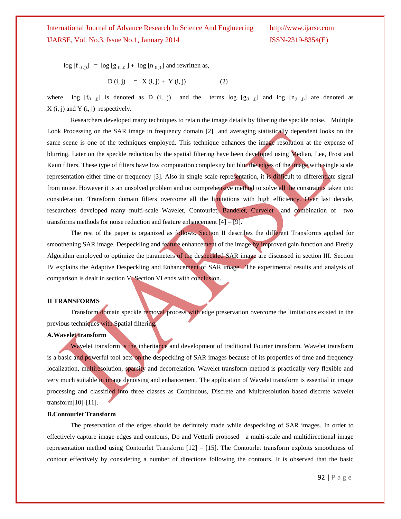$log [f_{(i,j)}] = log [g_{(i,j)}] + log [n_{(i,j)}]$  and rewritten as,

$$
D(i, j) = X(i, j) + Y(i, j)
$$
 (2)

where log  $[f_{(i,j)}]$  is denoted as D (i, j) and the terms log  $[g_{(i,j)}]$  and log  $[n_{(i,j)}]$  are denoted as  $X(i, j)$  and  $Y(i, j)$  respectively.

Researchers developed many techniques to retain the image details by filtering the speckle noise. Multiple Look Processing on the SAR image in frequency domain [2] and averaging statistically dependent looks on the same scene is one of the techniques employed. This technique enhances the image resolution at the expense of blurring. Later on the speckle reduction by the spatial filtering have been developed using Median, Lee, Frost and Kaun filters. These type of filters have low computation complexity but blur the edges of the image with single scale representation either time or frequency [3]. Also in single scale representation, it is difficult to differentiate signal from noise. However it is an unsolved problem and no comprehensive method to solve all the constraints taken into consideration. Transform domain filters overcome all the limitations with high efficiency. Over last decade, researchers developed many multi-scale Wavelet, Contourlet, Bandelet, Curvelet and combination of two transforms methods for noise reduction and feature enhancement  $[4] - [9]$ .

The rest of the paper is organized as follows. Section II describes the different Transforms applied for smoothening SAR image. Despeckling and feature enhancement of the image by improved gain function and Firefly Algorithm employed to optimize the parameters of the despeckled SAR image are discussed in section III. Section IV explains the Adaptive Despeckling and Enhancement of SAR image. The experimental results and analysis of comparison is dealt in section V. Section VI ends with conclusion.

### **II TRANSFORMS**

Transform domain speckle removal process with edge preservation overcome the limitations existed in the previous techniques with Spatial filtering.

### **A.Wavelet transform**

Wavelet transform is the inheritance and development of traditional Fourier transform. Wavelet transform is a basic and powerful tool acts on the despeckling of SAR images because of its properties of time and frequency localization, multiresolution, sparsity and decorrelation. Wavelet transform method is practically very flexible and very much suitable in image denoising and enhancement. The application of Wavelet transform is essential in image processing and classified into three classes as Continuous, Discrete and Multiresolution based discrete wavelet transform[10]-[11].

### **B.Contourlet Transform**

The preservation of the edges should be definitely made while despeckling of SAR images. In order to effectively capture image edges and contours, Do and Vetterli proposed a multi-scale and multidirectional image representation method using Contourlet Transform [12] – [15]. The Contourlet transform exploits smoothness of contour effectively by considering a number of directions following the contours. It is observed that the basic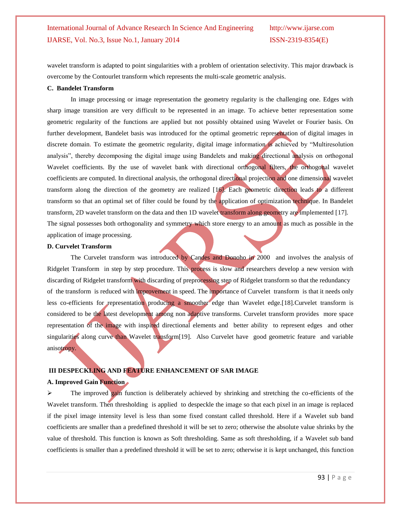wavelet transform is adapted to point singularities with a problem of orientation selectivity. This major drawback is overcome by the Contourlet transform which represents the multi-scale geometric analysis.

### **C. Bandelet Transform**

In image processing or image representation the geometry regularity is the challenging one. Edges with sharp image transition are very difficult to be represented in an image. To achieve better representation some geometric regularity of the functions are applied but not possibly obtained using Wavelet or Fourier basis. On further development, Bandelet basis was introduced for the optimal geometric representation of digital images in discrete domain. To estimate the geometric regularity, digital image information is achieved by "Multiresolution analysis", thereby decomposing the digital image using Bandelets and making directional analysis on orthogonal Wavelet coefficients. By the use of wavelet bank with directional orthogonal filters, the orthogonal wavelet coefficients are computed. In directional analysis, the orthogonal directional projection and one dimensional wavelet transform along the direction of the geometry are realized [16]. Each geometric direction leads to a different transform so that an optimal set of filter could be found by the application of optimization technique. In Bandelet transform, 2D wavelet transform on the data and then 1D wavelet transform along geometry are implemented [17]. The signal possesses both orthogonality and symmetry which store energy to an amount as much as possible in the application of image processing.

### **D. Curvelet Transform**

The Curvelet transform was introduced by Candes and Donoho in 2000 and involves the analysis of Ridgelet Transform in step by step procedure. This process is slow and researchers develop a new version with discarding of Ridgelet transform with discarding of preprocessing step of Ridgelet transform so that the redundancy of the transform is reduced with improvement in speed. The importance of Curvelet transform is that it needs only less co-efficients for representation producing a smoother edge than Wavelet edge.[18].Curvelet transform is considered to be the latest development among non adaptive transforms. Curvelet transform provides more space representation of the image with inspired directional elements and better ability to represent edges and other singularities along curve than Wavelet transform<sup>[19]</sup>. Also Curvelet have good geometric feature and variable anisotropy.

### **III DESPECKLING AND FEATURE ENHANCEMENT OF SAR IMAGE**

### **A. Improved Gain Function**

 $\triangleright$  The improved gain function is deliberately achieved by shrinking and stretching the co-efficients of the Wavelet transform. Then thresholding is applied to despeckle the image so that each pixel in an image is replaced if the pixel image intensity level is less than some fixed constant called threshold. Here if a Wavelet sub band coefficients are smaller than a predefined threshold it will be set to zero; otherwise the absolute value shrinks by the value of threshold. This function is known as Soft thresholding. Same as soft thresholding, if a Wavelet sub band coefficients is smaller than a predefined threshold it will be set to zero; otherwise it is kept unchanged, this function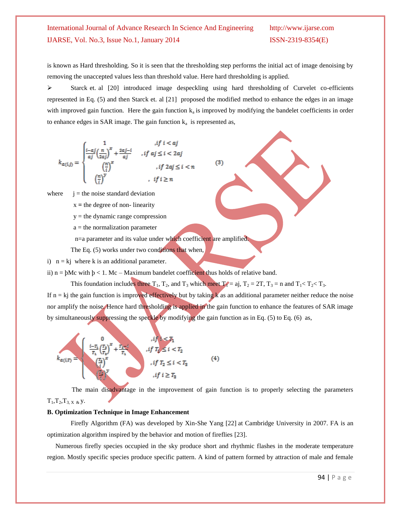is known as Hard thresholding. So it is seen that the thresholding step performs the initial act of image denoising by removing the unaccepted values less than threshold value. Here hard thresholding is applied.

 $\triangleright$  Starck et. al [20] introduced image despeckling using hard thresholding of Curvelet co-efficients represented in Eq. (5) and then Starck et. al [21] proposed the modified method to enhance the edges in an image with improved gain function. Here the gain function  $k_a$  is improved by modifying the bandelet coefficients in order to enhance edges in SAR image. The gain function  $k_a$  is represented as,

 $(3)$ 

$$
k_{\alpha(i,j)} = \begin{cases} \frac{1}{\alpha j} \left(\frac{n}{2\alpha j}\right)^x + \frac{2\alpha j - i}{\alpha j} & , if \ a j \leq i < 2\alpha j \\ \left(\frac{n}{i}\right)^x & , if \ 2\alpha j \leq i < n \\ \left(\frac{n}{i}\right)^y & , if \ i \geq n \end{cases}
$$

where  $j =$  the noise standard deviation

 $x =$  the degree of non-linearity

- $y =$  the dynamic range compression
- a = the normalization parameter

n=a parameter and its value under which coefficient are amplified.

The Eq. (5) works under two conditions that when,

i)  $n = k$  where k is an additional parameter.

ii)  $n = bMc$  with  $b < 1$ . Mc – Maximum bandelet coefficient thus holds of relative band.

This foundation includes three  $T_1$ ,  $T_2$ , and  $T_3$  which meet  $T_1 = aj$ ,  $T_2 = 2T$ ,  $T_3 = n$  and  $T_1 < T_2 < T_3$ .

If  $n = kj$  the gain function is improved effectively but by taking  $k$  as an additional parameter neither reduce the noise nor amplify the noise. Hence hard thresholding is applied in the gain function to enhance the features of SAR image by simultaneously suppressing the speckle by modifying the gain function as in Eq. (5) to Eq. (6) as,



The main disadvantage in the improvement of gain function is to properly selecting the parameters  $T_1, T_2, T_3, x \& y.$ 

### **B. Optimization Technique in Image Enhancement**

Firefly Algorithm (FA) was developed by Xin-She Yang [22] at Cambridge University in 2007. FA is an optimization algorithm inspired by the behavior and motion of fireflies [23].

 Numerous firefly species occupied in the sky produce short and rhythmic flashes in the moderate temperature region. Mostly specific species produce specific pattern. A kind of pattern formed by attraction of male and female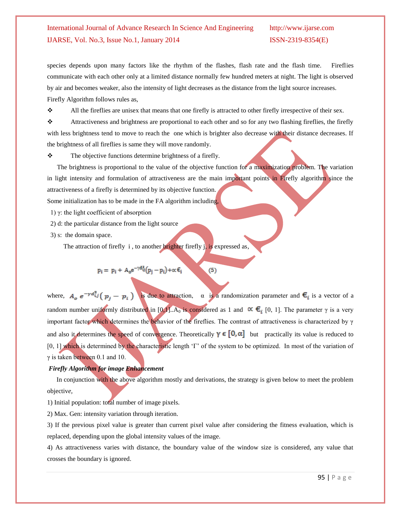species depends upon many factors like the rhythm of the flashes, flash rate and the flash time. Fireflies communicate with each other only at a limited distance normally few hundred meters at night. The light is observed by air and becomes weaker, also the intensity of light decreases as the distance from the light source increases. Firefly Algorithm follows rules as,

 $\mathbf{\hat{B}}$  All the fireflies are unisex that means that one firefly is attracted to other firefly irrespective of their sex.

 Attractiveness and brightness are proportional to each other and so for any two flashing fireflies, the firefly with less brightness tend to move to reach the one which is brighter also decrease with their distance decreases. If the brightness of all fireflies is same they will move randomly.

 $\triangle$  The objective functions determine brightness of a firefly.

 The brightness is proportional to the value of the objective function for a maximization problem. The variation in light intensity and formulation of attractiveness are the main important points in Firefly algorithm since the attractiveness of a firefly is determined by its objective function.

Some initialization has to be made in the FA algorithm including,

1) γ: the light coefficient of absorption

- 2) d: the particular distance from the light source
- 3) s: the domain space.

The attraction of firefly  $i$ , to another brighter firefly  $j$ , is expressed as,

$$
p_i = p_i + A_0 e^{-\gamma d_{ij}^2} (p_j - p_i) + \alpha \, \varepsilon_i
$$

where,  $A_{\alpha} e^{-\gamma d_{ij}^2} (p_i - p_i)$  is due to attraction,  $\alpha$  is a randomization parameter and  $\epsilon_i$  is a vector of a random number uniformly distributed in [0,1]. A<sub>0</sub> is considered as 1 and  $\alpha \in_{i}$  [0, 1]. The parameter γ is a very important factor which determines the behavior of the fireflies. The contrast of attractiveness is characterized by γ and also it determines the speed of convergence. Theoretically  $\gamma \in [0, \alpha]$  but practically its value is reduced to [0, 1] which is determined by the characteristic length ' $\Gamma$ ' of the system to be optimized. In most of the variation of γ is taken between 0.1 and 10.

 $(5)$ 

### *Firefly Algorithm for image Enhancement*

In conjunction with the above algorithm mostly and derivations, the strategy is given below to meet the problem objectiv*e,* 

1) Initial population: total number of image pixels.

2) Max. Gen: intensity variation through iteration.

3) If the previous pixel value is greater than current pixel value after considering the fitness evaluation, which is replaced, depending upon the global intensity values of the image.

4) As attractiveness varies with distance, the boundary value of the window size is considered, any value that crosses the boundary is ignored.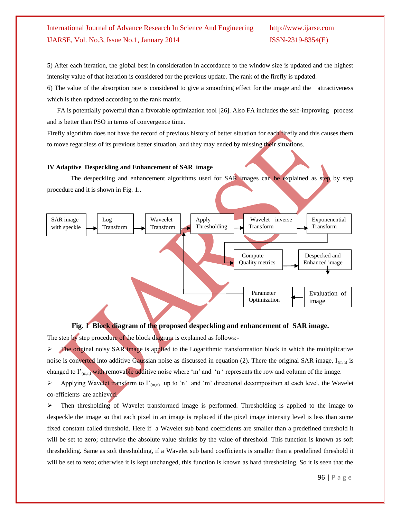5) After each iteration, the global best in consideration in accordance to the window size is updated and the highest intensity value of that iteration is considered for the previous update. The rank of the firefly is updated.

6) The value of the absorption rate is considered to give a smoothing effect for the image and the attractiveness which is then updated according to the rank matrix.

 FA is potentially powerful than a favorable optimization tool [26]. Also FA includes the self-improving process and is better than PSO in terms of convergence time.

Firefly algorithm does not have the record of previous history of better situation for each firefly and this causes them to move regardless of its previous better situation, and they may ended by missing their situations.

### **IV Adaptive Despeckling and Enhancement of SAR image**

The despeckling and enhancement algorithms used for SAR images can be explained as step by step procedure and it is shown in Fig. 1..



### **Fig. 1 Block diagram of the proposed despeckling and enhancement of SAR image.**

The step by step procedure of the block diagram is explained as follows:-

 The original noisy SAR image is applied to the Logarithmic transformation block in which the multiplicative noise is converted into additive Gaussian noise as discussed in equation (2). There the original SAR image,  $I_{(m,n)}$  is changed to  $\Gamma_{(m,n)}$  with removable additive noise where 'm' and 'n ' represents the row and column of the image.

Applying Wavelet transform to  $\Gamma_{(m,n)}$  up to 'n' and 'm' directional decomposition at each level, the Wavelet co-efficients are achieved.

 $\triangleright$  Then thresholding of Wavelet transformed image is performed. Thresholding is applied to the image to despeckle the image so that each pixel in an image is replaced if the pixel image intensity level is less than some fixed constant called threshold. Here if a Wavelet sub band coefficients are smaller than a predefined threshold it will be set to zero; otherwise the absolute value shrinks by the value of threshold. This function is known as soft thresholding. Same as soft thresholding, if a Wavelet sub band coefficients is smaller than a predefined threshold it will be set to zero; otherwise it is kept unchanged, this function is known as hard thresholding. So it is seen that the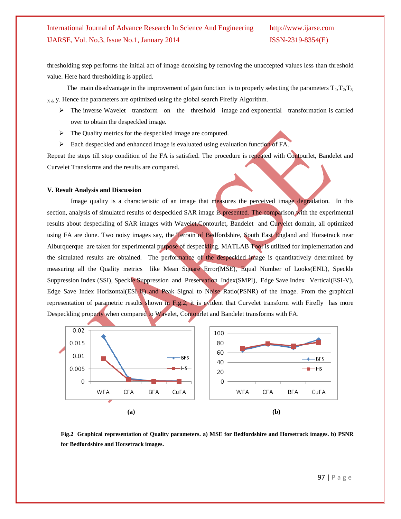thresholding step performs the initial act of image denoising by removing the unaccepted values less than threshold value. Here hard thresholding is applied.

The main disadvantage in the improvement of gain function is to properly selecting the parameters  $T_1, T_2, T_3$  $X \& Y$ . Hence the parameters are optimized using the global search Firefly Algorithm.

- $\triangleright$  The inverse Wavelet transform on the threshold image and exponential transformation is carried over to obtain the despeckled image.
- $\triangleright$  The Quality metrics for the despeckled image are computed.
- $\triangleright$  Each despeckled and enhanced image is evaluated using evaluation function of FA.

Repeat the steps till stop condition of the FA is satisfied. The procedure is repeated with Contourlet, Bandelet and Curvelet Transforms and the results are compared.

### **V. Result Analysis and Discussion**

Image quality is a characteristic of an image that measures the perceived image degradation. In this section, analysis of simulated results of despeckled SAR image is presented. The comparison with the experimental results about despeckling of SAR images with Wavelet,Contourlet, Bandelet and Curvelet domain, all optimized using FA are done. Two noisy images say, the Terrain of Bedfordshire, South East England and Horsetrack near Alburquerque are taken for experimental purpose of despeckling. MATLAB Tool is utilized for implementation and the simulated results are obtained. The performance of the despeckled image is quantitatively determined by measuring all the Quality metrics like Mean Square Error(MSE), Equal Number of Looks(ENL), Speckle Suppression Index (SSI), Speckle Suppression and Preservation Index(SMPI), Edge Save Index Vertical(ESI-V), Edge Save Index Horizontal(ESI-H) and Peak Signal to Noise Ratio(PSNR) of the image. From the graphical representation of parametric results shown in Fig.2, it is evident that Curvelet transform with Firefly has more Despeckling property when compared to Wavelet, Contourlet and Bandelet transforms with FA.



**Fig.2 Graphical representation of Quality parameters. a) MSE for Bedfordshire and Horsetrack images. b) PSNR for Bedfordshire and Horsetrack images.**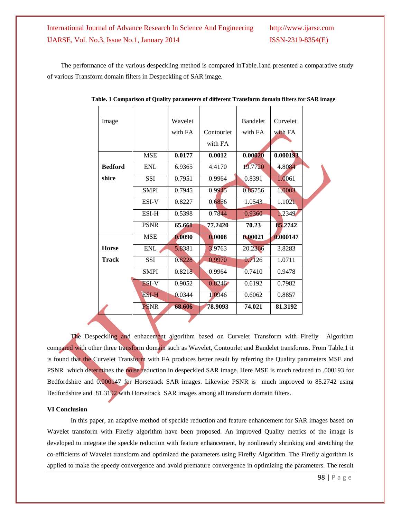The performance of the various despeckling method is compared inTable.1and presented a comparative study of various Transform domain filters in Despeckling of SAR image.

| Image          |              | Wavelet |            | <b>Bandelet</b> | Curvelet |  |
|----------------|--------------|---------|------------|-----------------|----------|--|
|                |              | with FA | Contourlet | with FA         | with FA  |  |
|                |              |         | with FA    |                 |          |  |
|                | <b>MSE</b>   | 0.0177  | 0.0012     | 0.00020         | 0.000193 |  |
| <b>Bedford</b> | <b>ENL</b>   | 6.9365  | 4.4170     | 19.7720         | 4.8084   |  |
| shire          | SSI          | 0.7951  | 0.9964     | 0.8391          | 1.0061   |  |
|                | <b>SMPI</b>  | 0.7945  | 0.9945     | 0.85756         | 1.0003   |  |
|                | ESI-V        | 0.8227  | 0.6856     | 1.0543          | 1.1021   |  |
|                | ESI-H        | 0.5398  | 0.7844     | 0.9360          | 1.2349   |  |
|                | <b>PSNR</b>  | 65.661  | 77.2420    | 70.23           | 85,2742  |  |
|                | <b>MSE</b>   | 0.0090  | 0.0008     | 0.00021         | 0.000147 |  |
| <b>Horse</b>   | ENL          | 5.8381  | 3.9763     | 20.2366         | 3.8283   |  |
| <b>Track</b>   | <b>SSI</b>   | 0.8228  | 0.9970     | 0.7126          | 1.0711   |  |
|                | <b>SMPI</b>  | 0.8218  | 0.9964     | 0.7410          | 0.9478   |  |
|                | <b>ESI-V</b> | 0.9052  | 0.8246     | 0.6192          | 0.7982   |  |
|                | <b>ESI-H</b> | 0.0344  | 1.0946     | 0.6062          | 0.8857   |  |
|                | <b>PSNR</b>  | 68.606  | 78.9093    | 74.021          | 81.3192  |  |
|                |              |         |            |                 |          |  |

**Table. 1 Comparison of Quality parameters of different Transform domain filters for SAR image**

The Despeckling and enhacement algorithm based on Curvelet Transform with Firefly Algorithm compared with other three transform domain such as Wavelet, Contourlet and Bandelet transforms. From Table.1 it is found that the Curvelet Transform with FA produces better result by referring the Quality parameters MSE and PSNR which determines the noise reduction in despeckled SAR image. Here MSE is much reduced to .000193 for Bedfordshire and 0.000147 for Horsetrack SAR images. Likewise PSNR is much improved to 85.2742 using Bedfordshire and 81.3192 with Horsetrack SAR images among all transform domain filters.

### **VI Conclusion**

In this paper, an adaptive method of speckle reduction and feature enhancement for SAR images based on Wavelet transform with Firefly algorithm have been proposed. An improved Quality metrics of the image is developed to integrate the speckle reduction with feature enhancement, by nonlinearly shrinking and stretching the co-efficients of Wavelet transform and optimized the parameters using Firefly Algorithm. The Firefly algorithm is applied to make the speedy convergence and avoid premature convergence in optimizing the parameters. The result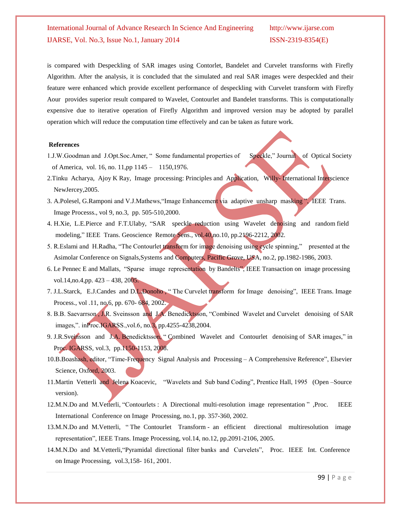is compared with Despeckling of SAR images using Contorlet, Bandelet and Curvelet transforms with Firefly Algorithm. After the analysis, it is concluded that the simulated and real SAR images were despeckled and their feature were enhanced which provide excellent performance of despeckling with Curvelet transform with Firefly Aour provides superior result compared to Wavelet, Contourlet and Bandelet transforms. This is computationally expensive due to iterative operation of Firefly Algorithm and improved version may be adopted by parallel operation which will reduce the computation time effectively and can be taken as future work.

### **References**

- 1.J.W.Goodman and J.Opt.Soc.Amer, "Some fundamental properties of Speckle," Journal of Optical Society of America, vol. 16, no. 11,pp 1145 – 1150,1976.
- 2.Tinku Acharya, Ajoy K Ray, Image processing: Principles and Application, Willy-International Interscience NewJercey,2005.
- 3. A.Polesel, G.Ramponi and V.J.Mathews,"Image Enhancement via adaptive unsharp masking ", IEEE Trans. Image Processs., vol 9, no.3, pp. 505-510,2000.
- 4. H.Xie, L.E.Pierce and F.T.Ulaby, "SAR speckle reduction using Wavelet denoising and random field modeling," IEEE Trans. Geoscience Remote Sens., vol.40,no.10, pp.2196-2212, 2002.
- 5. R.Eslami and H.Radha, "The Contourlet transform for image denoising using cycle spinning," presented at the Asimolar Conference on Signals,Systems and Computers, Pacific Grove, USA, no.2, pp.1982-1986, 2003.
- 6. Le Pennec E and Mallats, "Sparse image representation by Bandelts", IEEE Transaction on image processing vol.14,no.4,pp. 423 – 438, 2005.
- 7. J.L.Starck, E.J.Candes and D.L.Donoho, "The Curvelet transform for Image denoising", IEEE Trans. Image Process., vol .11, no.6, pp. 670- 684, 2002.
- 8. B.B. Saevarrson , J.R. Sveinsson and J.A. Benedicktsson, "Combined Wavelet and Curvelet denoising of SAR images,". inProc.IGARSS.,vol.6, no.3, pp.4255-4238,2004.
- 9. J.R.Sveinsson and J.A. Benedicktsson, " Combined Wavelet and Contourlet denoising of SAR images," in Proc. IGARSS, vol.3, pp.1150-1153, 2008.
- 10.B.Boashash, editor, "Time-Frequency Signal Analysis and Processing A Comprehensive Reference", Elsevier Science, Oxford, 2003.
- 11.Martin Vetterli and Jelena Koacevic, "Wavelets and Sub band Coding", Prentice Hall, 1995 (Open –Source version).
- 12.M.N.Do and M.Vetterli, "Contourlets : A Directional multi-resolution image representation " ,Proc. IEEE International Conference on Image Processing, no.1, pp. 357-360, 2002.
- 13.M.N.Do and M.Vetterli, " The Contourlet Transform an efficient directional multiresolution image representation", IEEE Trans. Image Processing, vol.14, no.12, pp.2091-2106, 2005.
- 14.M.N.Do and M.Vetterli,"Pyramidal directional filter banks and Curvelets", Proc. IEEE Int. Conference on Image Processing, vol.3,158- 161, 2001.